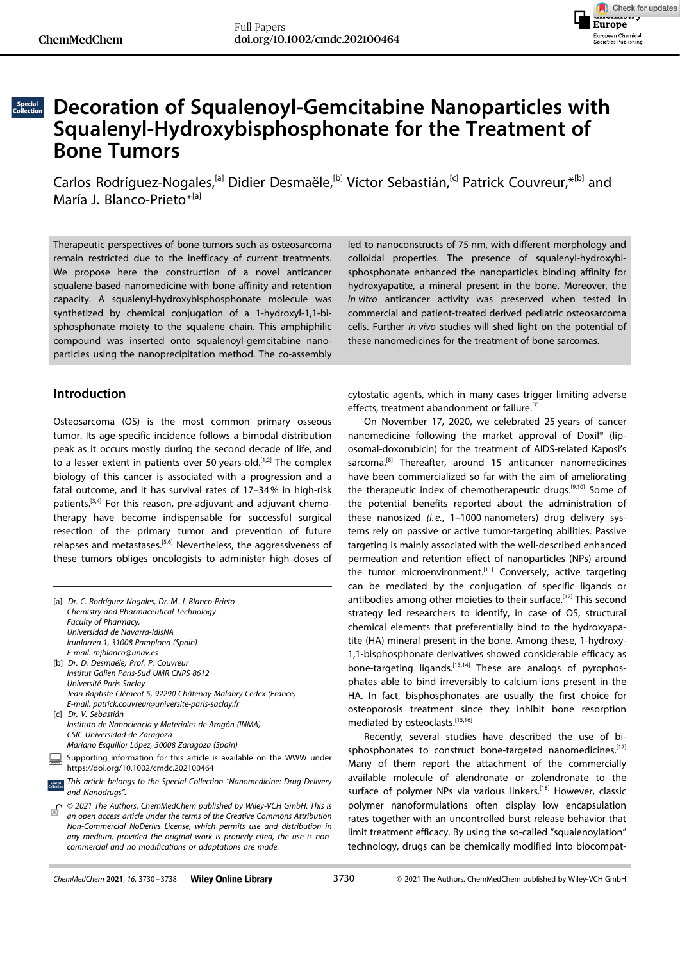

# **Decoration of Squalenoyl-Gemcitabine Nanoparticles with Squalenyl-Hydroxybisphosphonate for the Treatment of Bone Tumors**

Carlos [Rodríguez-Nogales,](http://orcid.org/0000-0003-3280-9069)<sup>[a]</sup> Didier Desmaële,<sup>[b]</sup> Víctor Sebastián,<sup>[c]</sup> Patrick [Couvreur,](http://orcid.org/0000-0001-7961-5443) \*<sup>[b]</sup> and María J. Blanco-Prieto\*<sup>[a]</sup>

Therapeutic perspectives of bone tumors such as osteosarcoma remain restricted due to the inefficacy of current treatments. We propose here the construction of a novel anticancer squalene-based nanomedicine with bone affinity and retention capacity. A squalenyl-hydroxybisphosphonate molecule was synthetized by chemical conjugation of a 1-hydroxyl-1,1-bisphosphonate moiety to the squalene chain. This amphiphilic compound was inserted onto squalenoyl-gemcitabine nanoparticles using the nanoprecipitation method. The co-assembly

### **Introduction**

Osteosarcoma (OS) is the most common primary osseous tumor. Its age-specific incidence follows a bimodal distribution peak as it occurs mostly during the second decade of life, and to a lesser extent in patients over 50 years-old.<sup>[1,2]</sup> The complex biology of this cancer is associated with a progression and a fatal outcome, and it has survival rates of 17–34% in high-risk patients.<sup>[3,4]</sup> For this reason, pre-adjuvant and adjuvant chemotherapy have become indispensable for successful surgical resection of the primary tumor and prevention of future relapses and metastases.[5,6] Nevertheless, the aggressiveness of these tumors obliges oncologists to administer high doses of

|                       | [a] Dr. C. Rodríguez-Nogales, Dr. M. J. Blanco-Prieto                                                                                                                                                                                                                                                                              |
|-----------------------|------------------------------------------------------------------------------------------------------------------------------------------------------------------------------------------------------------------------------------------------------------------------------------------------------------------------------------|
|                       | Chemistry and Pharmaceutical Technology                                                                                                                                                                                                                                                                                            |
|                       | Faculty of Pharmacy,                                                                                                                                                                                                                                                                                                               |
|                       | Universidad de Navarra-IdisNA                                                                                                                                                                                                                                                                                                      |
|                       | Irunlarrea 1, 31008 Pamplona (Spain)                                                                                                                                                                                                                                                                                               |
|                       | E-mail: mjblanco@unav.es                                                                                                                                                                                                                                                                                                           |
|                       | [b] Dr. D. Desmaële, Prof. P. Couvreur                                                                                                                                                                                                                                                                                             |
|                       | <b>Institut Galien Paris-Sud UMR CNRS 8612</b>                                                                                                                                                                                                                                                                                     |
|                       | Université Paris-Saclay                                                                                                                                                                                                                                                                                                            |
|                       | Jean Baptiste Clément 5, 92290 Châtenay-Malabry Cedex (France)                                                                                                                                                                                                                                                                     |
|                       | E-mail: patrick.couvreur@universite-paris-saclay.fr                                                                                                                                                                                                                                                                                |
|                       | [c] Dr. V. Sebastián                                                                                                                                                                                                                                                                                                               |
|                       | Instituto de Nanociencia y Materiales de Aragón (INMA)                                                                                                                                                                                                                                                                             |
|                       | CSIC-Universidad de Zaragoza                                                                                                                                                                                                                                                                                                       |
|                       | Mariano Esquillor López, 50008 Zaragoza (Spain)                                                                                                                                                                                                                                                                                    |
|                       | Supporting information for this article is available on the WWW under<br>https://doi.org/10.1002/cmdc.202100464                                                                                                                                                                                                                    |
| Special<br>Collection | This article belongs to the Special Collection "Nanomedicine: Drug Delivery<br>and Nanodrugs".                                                                                                                                                                                                                                     |
|                       | $\bigcap_{n=1}^{\infty}$ © 2021 The Authors. ChemMedChem published by Wiley-VCH GmbH. This is<br>an open access article under the terms of the Creative Commons Attribution<br>Non-Commercial NoDerivs License, which permits use and distribution in<br>any medium, provided the original work is properly cited, the use is non- |

led to nanoconstructs of 75 nm, with different morphology and colloidal properties. The presence of squalenyl-hydroxybisphosphonate enhanced the nanoparticles binding affinity for hydroxyapatite, a mineral present in the bone. Moreover, the *in vitro* anticancer activity was preserved when tested in commercial and patient-treated derived pediatric osteosarcoma cells. Further *in vivo* studies will shed light on the potential of these nanomedicines for the treatment of bone sarcomas.

cytostatic agents, which in many cases trigger limiting adverse effects, treatment abandonment or failure.<sup>[7]</sup>

On November 17, 2020, we celebrated 25 years of cancer nanomedicine following the market approval of Doxil® (liposomal-doxorubicin) for the treatment of AIDS-related Kaposi's sarcoma.<sup>[8]</sup> Thereafter, around 15 anticancer nanomedicines have been commercialized so far with the aim of ameliorating the therapeutic index of chemotherapeutic drugs.<sup>[9,10]</sup> Some of the potential benefits reported about the administration of these nanosized (i.e., 1-1000 nanometers) drug delivery systems rely on passive or active tumor-targeting abilities. Passive targeting is mainly associated with the well-described enhanced permeation and retention effect of nanoparticles (NPs) around the tumor microenvironment.<sup>[11]</sup> Conversely, active targeting can be mediated by the conjugation of specific ligands or antibodies among other moieties to their surface.<sup>[12]</sup> This second strategy led researchers to identify, in case of OS, structural chemical elements that preferentially bind to the hydroxyapatite (HA) mineral present in the bone. Among these, 1-hydroxy-1,1-bisphosphonate derivatives showed considerable efficacy as bone-targeting ligands.[13,14] These are analogs of pyrophosphates able to bind irreversibly to calcium ions present in the HA. In fact, bisphosphonates are usually the first choice for osteoporosis treatment since they inhibit bone resorption mediated by osteoclasts.<sup>[15,16]</sup>

Recently, several studies have described the use of bisphosphonates to construct bone-targeted nanomedicines.[17] Many of them report the attachment of the commercially available molecule of alendronate or zolendronate to the surface of polymer NPs via various linkers.<sup>[18]</sup> However, classic polymer nanoformulations often display low encapsulation rates together with an uncontrolled burst release behavior that limit treatment efficacy. By using the so-called "squalenoylation" technology, drugs can be chemically modified into biocompat-

*commercial and no modifications or adaptations are made.*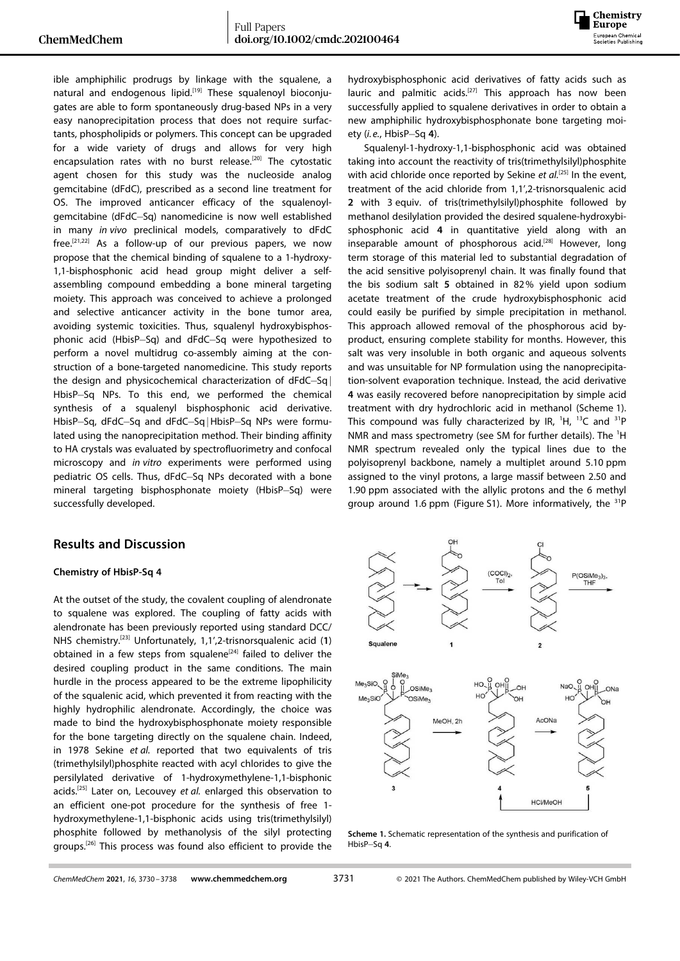

ible amphiphilic prodrugs by linkage with the squalene, a natural and endogenous lipid.<sup>[19]</sup> These squalenoyl bioconjugates are able to form spontaneously drug-based NPs in a very easy nanoprecipitation process that does not require surfactants, phospholipids or polymers. This concept can be upgraded for a wide variety of drugs and allows for very high encapsulation rates with no burst release.<sup>[20]</sup> The cytostatic agent chosen for this study was the nucleoside analog gemcitabine (dFdC), prescribed as a second line treatment for OS. The improved anticancer efficacy of the squalenoylgemcitabine (dFdC-Sq) nanomedicine is now well established in many *in vivo* preclinical models, comparatively to dFdC free.[21,22] As a follow-up of our previous papers, we now propose that the chemical binding of squalene to a 1-hydroxy-1,1-bisphosphonic acid head group might deliver a selfassembling compound embedding a bone mineral targeting moiety. This approach was conceived to achieve a prolonged and selective anticancer activity in the bone tumor area, avoiding systemic toxicities. Thus, squalenyl hydroxybisphosphonic acid (HbisP-Sq) and dFdC-Sq were hypothesized to perform a novel multidrug co-assembly aiming at the construction of a bone-targeted nanomedicine. This study reports the design and physicochemical characterization of  $dFdC-Sq$ HbisP-Sq NPs. To this end, we performed the chemical synthesis of a squalenyl bisphosphonic acid derivative. HbisP-Sq, dFdC-Sq and dFdC-Sq | HbisP-Sq NPs were formulated using the nanoprecipitation method. Their binding affinity to HA crystals was evaluated by spectrofluorimetry and confocal microscopy and *in vitro* experiments were performed using pediatric OS cells. Thus, dFdC-Sq NPs decorated with a bone mineral targeting bisphosphonate moiety (HbisP-Sq) were successfully developed.

### **Results and Discussion**

#### **Chemistry of HbisP-Sq 4**

At the outset of the study, the covalent coupling of alendronate to squalene was explored. The coupling of fatty acids with alendronate has been previously reported using standard DCC/ NHS chemistry.[23] Unfortunately, 1,1',2-trisnorsqualenic acid (**1**) obtained in a few steps from squalene<sup>[24]</sup> failed to deliver the desired coupling product in the same conditions. The main hurdle in the process appeared to be the extreme lipophilicity of the squalenic acid, which prevented it from reacting with the highly hydrophilic alendronate. Accordingly, the choice was made to bind the hydroxybisphosphonate moiety responsible for the bone targeting directly on the squalene chain. Indeed, in 1978 Sekine *et al.* reported that two equivalents of tris (trimethylsilyl)phosphite reacted with acyl chlorides to give the persilylated derivative of 1-hydroxymethylene-1,1-bisphonic acids.[25] Later on, Lecouvey *et al.* enlarged this observation to an efficient one-pot procedure for the synthesis of free 1 hydroxymethylene-1,1-bisphonic acids using tris(trimethylsilyl) phosphite followed by methanolysis of the silyl protecting groups.<sup>[26]</sup> This process was found also efficient to provide the hydroxybisphosphonic acid derivatives of fatty acids such as lauric and palmitic acids.<sup>[27]</sup> This approach has now been successfully applied to squalene derivatives in order to obtain a new amphiphilic hydroxybisphosphonate bone targeting moiety (*i.e.*, HbisP-Sq 4).

Squalenyl-1-hydroxy-1,1-bisphosphonic acid was obtained taking into account the reactivity of tris(trimethylsilyl)phosphite with acid chloride once reported by Sekine et al.<sup>[25]</sup> In the event, treatment of the acid chloride from 1,1',2-trisnorsqualenic acid **2** with 3 equiv. of tris(trimethylsilyl)phosphite followed by methanol desilylation provided the desired squalene-hydroxybisphosphonic acid **4** in quantitative yield along with an inseparable amount of phosphorous acid.<sup>[28]</sup> However, long term storage of this material led to substantial degradation of the acid sensitive polyisoprenyl chain. It was finally found that the bis sodium salt **5** obtained in 82% yield upon sodium acetate treatment of the crude hydroxybisphosphonic acid could easily be purified by simple precipitation in methanol. This approach allowed removal of the phosphorous acid byproduct, ensuring complete stability for months. However, this salt was very insoluble in both organic and aqueous solvents and was unsuitable for NP formulation using the nanoprecipitation-solvent evaporation technique. Instead, the acid derivative **4** was easily recovered before nanoprecipitation by simple acid treatment with dry hydrochloric acid in methanol (Scheme 1). This compound was fully characterized by IR,  ${}^{1}H$ ,  ${}^{13}C$  and  ${}^{31}P$ NMR and mass spectrometry (see SM for further details). The <sup>1</sup>H NMR spectrum revealed only the typical lines due to the polyisoprenyl backbone, namely a multiplet around 5.10 ppm assigned to the vinyl protons, a large massif between 2.50 and 1.90 ppm associated with the allylic protons and the 6 methyl group around 1.6 ppm (Figure S1). More informatively, the <sup>31</sup>P



**Scheme 1.** Schematic representation of the synthesis and purification of HbisP-Sq 4.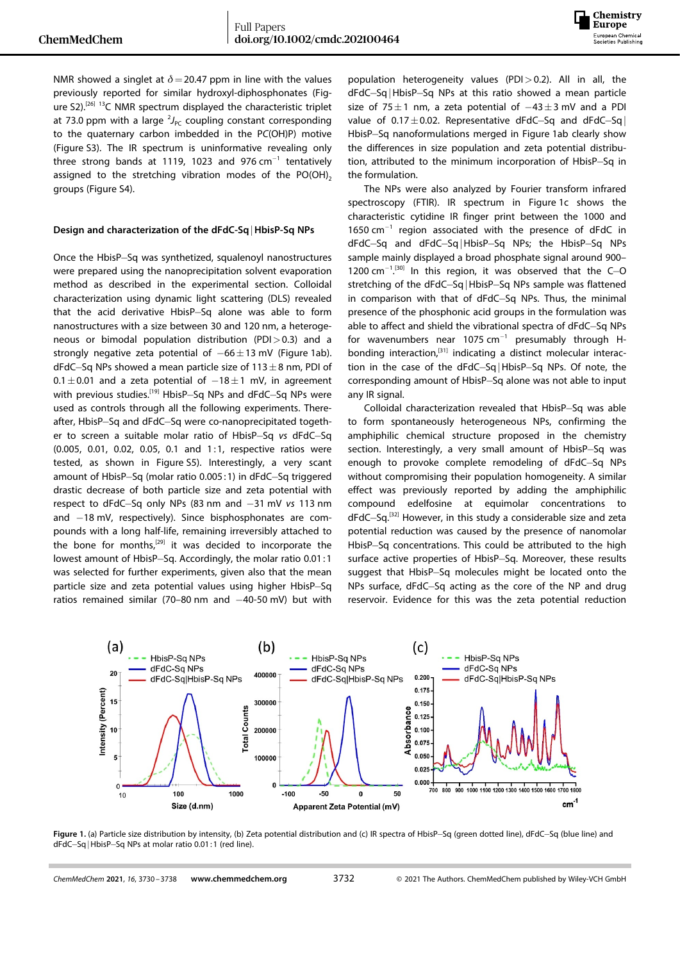

NMR showed a singlet at  $\delta$  = 20.47 ppm in line with the values previously reported for similar hydroxyl-diphosphonates (Figure S2).<sup>[26] 13</sup>C NMR spectrum displayed the characteristic triplet at 73.0 ppm with a large  ${}^{2}J_{PC}$  coupling constant corresponding to the quaternary carbon imbedded in the P*C*(OH)P) motive (Figure S3). The IR spectrum is uninformative revealing only three strong bands at 1119, 1023 and 976  $cm^{-1}$  tentatively assigned to the stretching vibration modes of the PO(OH)<sub>2</sub> groups (Figure S4).

### **Design and characterization of the dFdC-Sq**j**HbisP-Sq NPs**

Once the HbisP-Sq was synthetized, squalenoyl nanostructures were prepared using the nanoprecipitation solvent evaporation method as described in the experimental section. Colloidal characterization using dynamic light scattering (DLS) revealed that the acid derivative HbisP-Sq alone was able to form nanostructures with a size between 30 and 120 nm, a heterogeneous or bimodal population distribution (PDI*>*0.3) and a strongly negative zeta potential of  $-66 \pm 13$  mV (Figure 1ab). dFdC-Sq NPs showed a mean particle size of  $113\pm8$  nm, PDI of  $0.1 \pm 0.01$  and a zeta potential of  $-18 \pm 1$  mV, in agreement with previous studies.<sup>[19]</sup> HbisP-Sq NPs and dFdC-Sq NPs were used as controls through all the following experiments. Thereafter, HbisP-Sq and dFdC-Sq were co-nanoprecipitated together to screen a suitable molar ratio of HbisP-Sq *vs* dFdC-Sq (0.005, 0.01, 0.02, 0.05, 0.1 and 1 :1, respective ratios were tested, as shown in Figure S5). Interestingly, a very scant amount of HbisP-Sq (molar ratio 0.005:1) in dFdC-Sq triggered drastic decrease of both particle size and zeta potential with respect to dFdC-Sq only NPs (83 nm and -31 mV vs 113 nm and  $-18$  mV, respectively). Since bisphosphonates are compounds with a long half-life, remaining irreversibly attached to the bone for months, $[29]$  it was decided to incorporate the lowest amount of HbisP-Sq. Accordingly, the molar ratio 0.01:1 was selected for further experiments, given also that the mean particle size and zeta potential values using higher HbisP-Sq ratios remained similar (70–80 nm and  $-40$ -50 mV) but with population heterogeneity values (PDI*>*0.2). All in all, the dFdC-Sq | HbisP-Sq NPs at this ratio showed a mean particle size of 75 $\pm$ 1 nm, a zeta potential of  $-43\pm3$  mV and a PDI value of  $0.17 \pm 0.02$ . Representative dFdC-Sq and dFdC-Sq | HbisP-Sq nanoformulations merged in Figure 1ab clearly show the differences in size population and zeta potential distribution, attributed to the minimum incorporation of HbisP-Sq in the formulation.

The NPs were also analyzed by Fourier transform infrared spectroscopy (FTIR). IR spectrum in Figure 1c shows the characteristic cytidine IR finger print between the 1000 and 1650  $cm^{-1}$  region associated with the presence of dFdC in dFdC-Sq and dFdC-Sq|HbisP-Sq NPs; the HbisP-Sq NPs sample mainly displayed a broad phosphate signal around 900– 1200 cm<sup>-1</sup>.<sup>[30]</sup> In this region, it was observed that the C-O stretching of the dFdC-Sq | HbisP-Sq NPs sample was flattened in comparison with that of dFdC-Sq NPs. Thus, the minimal presence of the phosphonic acid groups in the formulation was able to affect and shield the vibrational spectra of dFdC-Sq NPs for wavenumbers near 1075  $cm^{-1}$  presumably through Hbonding interaction, $[31]$  indicating a distinct molecular interaction in the case of the dFdC-Sq|HbisP-Sq NPs. Of note, the corresponding amount of HbisP-Sq alone was not able to input any IR signal.

Colloidal characterization revealed that HbisP-Sq was able to form spontaneously heterogeneous NPs, confirming the amphiphilic chemical structure proposed in the chemistry section. Interestingly, a very small amount of HbisP-Sq was enough to provoke complete remodeling of dFdC-Sq NPs without compromising their population homogeneity. A similar effect was previously reported by adding the amphiphilic compound edelfosine at equimolar concentrations to dFdC-Sq.<sup>[32]</sup> However, in this study a considerable size and zeta potential reduction was caused by the presence of nanomolar HbisP-Sq concentrations. This could be attributed to the high surface active properties of HbisP-Sq. Moreover, these results suggest that HbisP-Sq molecules might be located onto the NPs surface, dFdC-Sq acting as the core of the NP and drug reservoir. Evidence for this was the zeta potential reduction



Figure 1. (a) Particle size distribution by intensity, (b) Zeta potential distribution and (c) IR spectra of HbisP-Sq (green dotted line), dFdC-Sq (blue line) and dFdC-Sq | HbisP-Sq NPs at molar ratio 0.01:1 (red line).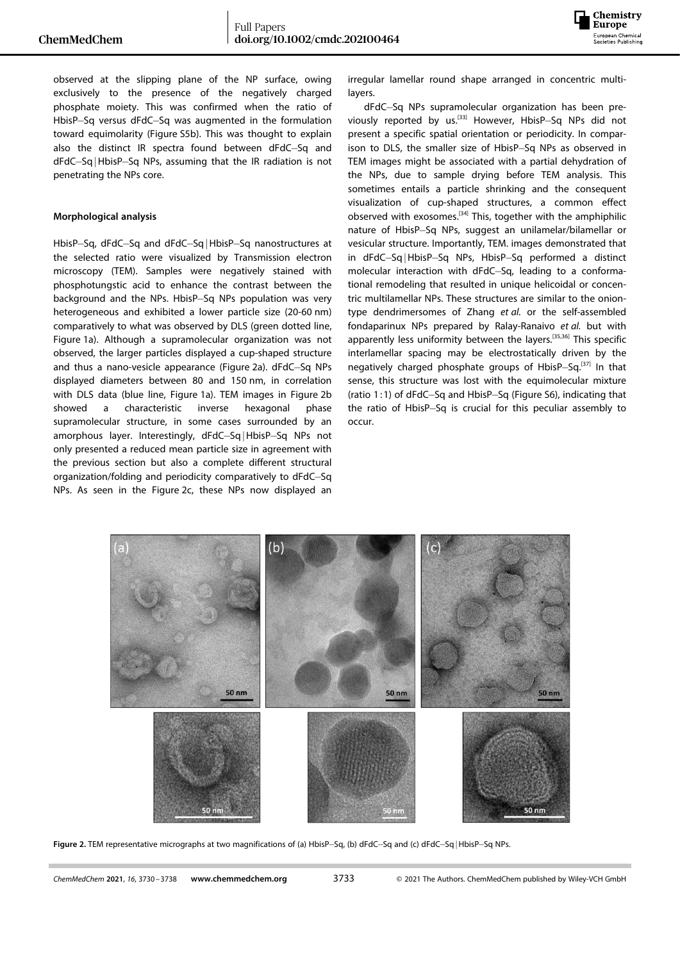

observed at the slipping plane of the NP surface, owing exclusively to the presence of the negatively charged phosphate moiety. This was confirmed when the ratio of HbisP-Sq versus dFdC-Sq was augmented in the formulation toward equimolarity (Figure S5b). This was thought to explain also the distinct IR spectra found between dFdC-Sq and dFdC-Sq | HbisP-Sq NPs, assuming that the IR radiation is not penetrating the NPs core.

### **Morphological analysis**

HbisP-Sq, dFdC-Sq and dFdC-Sq | HbisP-Sq nanostructures at the selected ratio were visualized by Transmission electron microscopy (TEM). Samples were negatively stained with phosphotungstic acid to enhance the contrast between the background and the NPs. HbisP-Sq NPs population was very heterogeneous and exhibited a lower particle size (20-60 nm) comparatively to what was observed by DLS (green dotted line, Figure 1a). Although a supramolecular organization was not observed, the larger particles displayed a cup-shaped structure and thus a nano-vesicle appearance (Figure 2a). dFdC-Sq NPs displayed diameters between 80 and 150 nm, in correlation with DLS data (blue line, Figure 1a). TEM images in Figure 2b showed a characteristic inverse hexagonal phase supramolecular structure, in some cases surrounded by an amorphous layer. Interestingly, dFdC-Sq | HbisP-Sq NPs not only presented a reduced mean particle size in agreement with the previous section but also a complete different structural organization/folding and periodicity comparatively to dFdC-Sq NPs. As seen in the Figure 2c, these NPs now displayed an

irregular lamellar round shape arranged in concentric multilayers.

dFdC-Sq NPs supramolecular organization has been previously reported by us.<sup>[33]</sup> However, HbisP-Sq NPs did not present a specific spatial orientation or periodicity. In comparison to DLS, the smaller size of HbisP-Sq NPs as observed in TEM images might be associated with a partial dehydration of the NPs, due to sample drying before TEM analysis. This sometimes entails a particle shrinking and the consequent visualization of cup-shaped structures, a common effect observed with exosomes.[34] This, together with the amphiphilic nature of HbisP-Sq NPs, suggest an unilamelar/bilamellar or vesicular structure. Importantly, TEM. images demonstrated that in dFdC-Sq | HbisP-Sq NPs, HbisP-Sq performed a distinct molecular interaction with dFdC-Sq, leading to a conformational remodeling that resulted in unique helicoidal or concentric multilamellar NPs. These structures are similar to the oniontype dendrimersomes of Zhang *et al.* or the self-assembled fondaparinux NPs prepared by Ralay-Ranaivo *et al.* but with apparently less uniformity between the layers.<sup>[35,36]</sup> This specific interlamellar spacing may be electrostatically driven by the negatively charged phosphate groups of HbisP-Sq.<sup>[37]</sup> In that sense, this structure was lost with the equimolecular mixture (ratio 1:1) of  $dFdC-Sq$  and  $HbisP-Sq$  (Figure S6), indicating that the ratio of HbisP-Sq is crucial for this peculiar assembly to occur.



Figure 2. TEM representative micrographs at two magnifications of (a) HbisP-Sq, (b) dFdC-Sq and (c) dFdC-Sq | HbisP-Sq NPs.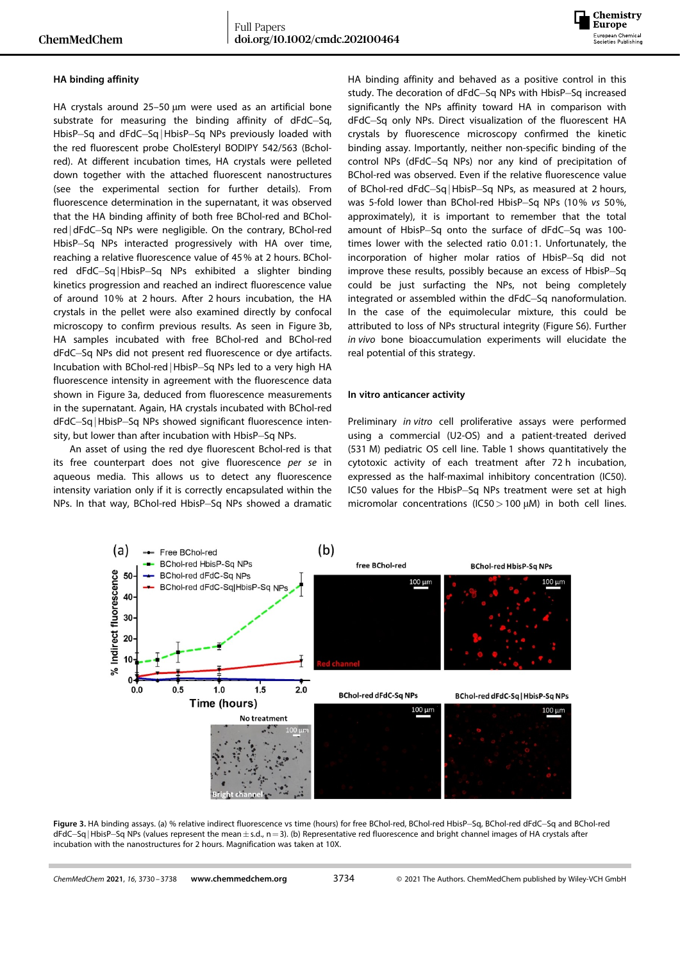

### **HA binding affinity**

HA crystals around 25–50 μm were used as an artificial bone substrate for measuring the binding affinity of dFdC-Sq, HbisP-Sq and dFdC-Sq | HbisP-Sq NPs previously loaded with the red fluorescent probe CholEsteryl BODIPY 542/563 (Bcholred). At different incubation times, HA crystals were pelleted down together with the attached fluorescent nanostructures (see the experimental section for further details). From fluorescence determination in the supernatant, it was observed that the HA binding affinity of both free BChol-red and BCholred | dFdC-Sq NPs were negligible. On the contrary, BChol-red HbisP-Sq NPs interacted progressively with HA over time, reaching a relative fluorescence value of 45% at 2 hours. BCholred dFdC-Sq|HbisP-Sq NPs exhibited a slighter binding kinetics progression and reached an indirect fluorescence value of around 10% at 2 hours. After 2 hours incubation, the HA crystals in the pellet were also examined directly by confocal microscopy to confirm previous results. As seen in Figure 3b, HA samples incubated with free BChol-red and BChol-red dFdC-Sq NPs did not present red fluorescence or dye artifacts. Incubation with BChol-red | HbisP-Sq NPs led to a very high HA fluorescence intensity in agreement with the fluorescence data shown in Figure 3a, deduced from fluorescence measurements in the supernatant. Again, HA crystals incubated with BChol-red dFdC-Sq | HbisP-Sq NPs showed significant fluorescence intensity, but lower than after incubation with HbisP-Sq NPs.

An asset of using the red dye fluorescent Bchol-red is that its free counterpart does not give fluorescence *per se* in aqueous media. This allows us to detect any fluorescence intensity variation only if it is correctly encapsulated within the NPs. In that way, BChol-red HbisP-Sq NPs showed a dramatic HA binding affinity and behaved as a positive control in this study. The decoration of dFdC-Sq NPs with HbisP-Sq increased significantly the NPs affinity toward HA in comparison with dFdC-Sq only NPs. Direct visualization of the fluorescent HA crystals by fluorescence microscopy confirmed the kinetic binding assay. Importantly, neither non-specific binding of the control NPs (dFdC-Sq NPs) nor any kind of precipitation of BChol-red was observed. Even if the relative fluorescence value of BChol-red dFdC-Sq | HbisP-Sq NPs, as measured at 2 hours, was 5-fold lower than BChol-red HbisP-Sq NPs (10% vs 50%, approximately), it is important to remember that the total amount of HbisP-Sq onto the surface of dFdC-Sq was 100times lower with the selected ratio 0.01:1. Unfortunately, the incorporation of higher molar ratios of HbisP-Sq did not improve these results, possibly because an excess of HbisP-Sq could be just surfacting the NPs, not being completely integrated or assembled within the dFdC-Sq nanoformulation. In the case of the equimolecular mixture, this could be attributed to loss of NPs structural integrity (Figure S6). Further *in vivo* bone bioaccumulation experiments will elucidate the real potential of this strategy.

#### **In vitro anticancer activity**

Preliminary *in vitro* cell proliferative assays were performed using a commercial (U2-OS) and a patient-treated derived (531 M) pediatric OS cell line. Table 1 shows quantitatively the cytotoxic activity of each treatment after 72 h incubation, expressed as the half-maximal inhibitory concentration (IC50). IC50 values for the HbisP-Sq NPs treatment were set at high micromolar concentrations (IC50*>*100 μM) in both cell lines.



Figure 3. HA binding assays. (a) % relative indirect fluorescence vs time (hours) for free BChol-red, BChol-red HbisP-Sq, BChol-red dFdC-Sq and BChol-red dFdC-Sq | HbisP-Sq NPs (values represent the mean  $\pm$  s.d., n = 3). (b) Representative red fluorescence and bright channel images of HA crystals after incubation with the nanostructures for 2 hours. Magnification was taken at 10X.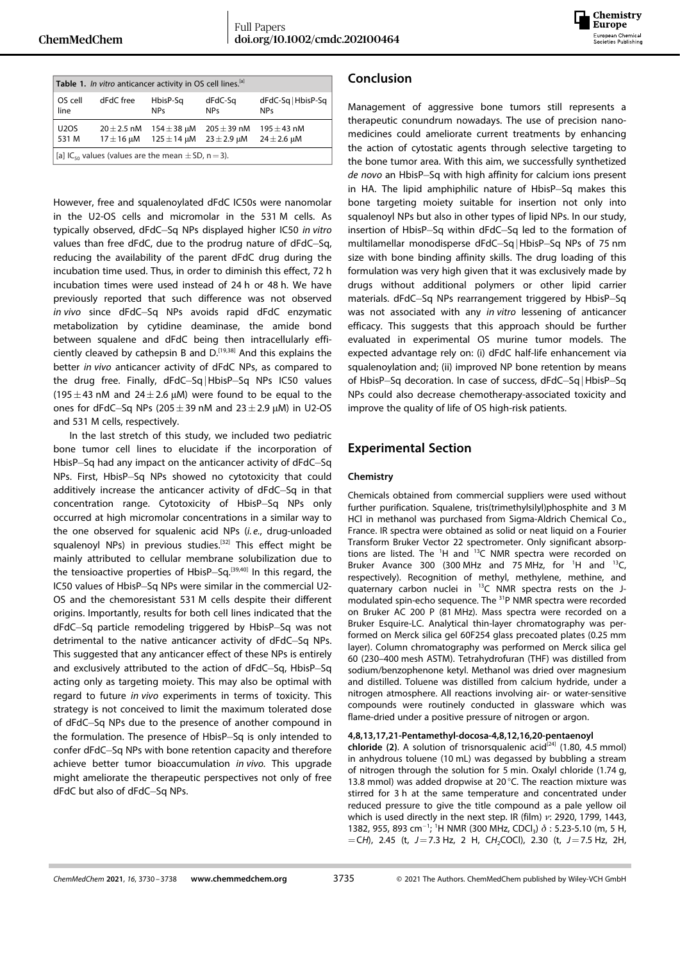

| Table 1. In vitro anticancer activity in OS cell lines. <sup>[a]</sup> |                |                 |                 |                    |  |  |
|------------------------------------------------------------------------|----------------|-----------------|-----------------|--------------------|--|--|
| OS cell                                                                | dFdC free      | HbisP-Sq        | dFdC-Sq         | dFdC-Sq   HbisP-Sq |  |  |
| line                                                                   |                | <b>NPs</b>      | <b>NPs</b>      | <b>NPs</b>         |  |  |
| <b>U2OS</b>                                                            | $20 + 2.5$ nM  | $154 \pm 38$ uM | 205 $\pm$ 39 nM | $195 + 43$ nM      |  |  |
| 531 M                                                                  | $17 \pm 16$ uM | $125 \pm 14$ µM | $23 \pm 2.9$ µM | $24 \pm 2.6$ uM    |  |  |
| [[a] IC <sub>50</sub> values (values are the mean $\pm$ SD, n = 3).    |                |                 |                 |                    |  |  |

However, free and squalenoylated dFdC IC50s were nanomolar in the U2-OS cells and micromolar in the 531 M cells. As typically observed, dFdC Sq NPs displayed higher IC50 *in vitro* values than free dFdC, due to the prodrug nature of dFdC-Sq, reducing the availability of the parent dFdC drug during the incubation time used. Thus, in order to diminish this effect, 72 h incubation times were used instead of 24 h or 48 h. We have previously reported that such difference was not observed *in* vivo since dFdC-Sq NPs avoids rapid dFdC enzymatic metabolization by cytidine deaminase, the amide bond between squalene and dFdC being then intracellularly efficiently cleaved by cathepsin B and  $D$ .<sup>[19,38]</sup> And this explains the better *in vivo* anticancer activity of dFdC NPs, as compared to the drug free. Finally, dFdC-Sq | HbisP-Sq NPs IC50 values (195 $\pm$ 43 nM and 24 $\pm$ 2.6  $\mu$ M) were found to be equal to the ones for dFdC-Sq NPs (205 $\pm$ 39 nM and 23 $\pm$ 2.9 μM) in U2-OS and 531 M cells, respectively.

In the last stretch of this study, we included two pediatric bone tumor cell lines to elucidate if the incorporation of HbisP-Sq had any impact on the anticancer activity of dFdC-Sq NPs. First, HbisP-Sq NPs showed no cytotoxicity that could additively increase the anticancer activity of dFdC-Sq in that concentration range. Cytotoxicity of HbisP-Sq NPs only occurred at high micromolar concentrations in a similar way to the one observed for squalenic acid NPs (*i. e.*, drug-unloaded squalenoyl NPs) in previous studies.<sup>[32]</sup> This effect might be mainly attributed to cellular membrane solubilization due to the tensioactive properties of HbisP-Sq.<sup>[39,40]</sup> In this regard, the IC50 values of HbisP-Sq NPs were similar in the commercial U2-OS and the chemoresistant 531 M cells despite their different origins. Importantly, results for both cell lines indicated that the dFdC-Sq particle remodeling triggered by HbisP-Sq was not detrimental to the native anticancer activity of dFdC-Sq NPs. This suggested that any anticancer effect of these NPs is entirely and exclusively attributed to the action of dFdC-Sq, HbisP-Sq acting only as targeting moiety. This may also be optimal with regard to future *in vivo* experiments in terms of toxicity. This strategy is not conceived to limit the maximum tolerated dose of dFdC-Sq NPs due to the presence of another compound in the formulation. The presence of HbisP-Sq is only intended to confer dFdC-Sq NPs with bone retention capacity and therefore achieve better tumor bioaccumulation *in vivo.* This upgrade might ameliorate the therapeutic perspectives not only of free dFdC but also of dFdC-Sq NPs.

## **Conclusion**

Management of aggressive bone tumors still represents a therapeutic conundrum nowadays. The use of precision nanomedicines could ameliorate current treatments by enhancing the action of cytostatic agents through selective targeting to the bone tumor area. With this aim, we successfully synthetized de novo an HbisP-Sq with high affinity for calcium ions present in HA. The lipid amphiphilic nature of HbisP-Sq makes this bone targeting moiety suitable for insertion not only into squalenoyl NPs but also in other types of lipid NPs. In our study, insertion of HbisP-Sq within dFdC-Sq led to the formation of multilamellar monodisperse dFdC-Sq | HbisP-Sq NPs of 75 nm size with bone binding affinity skills. The drug loading of this formulation was very high given that it was exclusively made by drugs without additional polymers or other lipid carrier materials. dFdC-Sq NPs rearrangement triggered by HbisP-Sq was not associated with any *in vitro* lessening of anticancer efficacy. This suggests that this approach should be further evaluated in experimental OS murine tumor models. The expected advantage rely on: (i) dFdC half-life enhancement via squalenoylation and; (ii) improved NP bone retention by means of HbisP-Sq decoration. In case of success, dFdC-Sq | HbisP-Sq NPs could also decrease chemotherapy-associated toxicity and improve the quality of life of OS high-risk patients.

# **Experimental Section**

### **Chemistry**

Chemicals obtained from commercial suppliers were used without further purification. Squalene, tris(trimethylsilyl)phosphite and 3 M HCl in methanol was purchased from Sigma-Aldrich Chemical Co., France. IR spectra were obtained as solid or neat liquid on a Fourier Transform Bruker Vector 22 spectrometer. Only significant absorptions are listed. The <sup>1</sup>H and <sup>13</sup>C NMR spectra were recorded on Bruker Avance 300 (300 MHz and 75 MHz, for  $^1$ H and  $^{13}$ C, respectively). Recognition of methyl, methylene, methine, and quaternary carbon nuclei in <sup>13</sup>C NMR spectra rests on the Jmodulated spin-echo sequence. The <sup>31</sup>P NMR spectra were recorded on Bruker AC 200 P (81 MHz). Mass spectra were recorded on a Bruker Esquire-LC. Analytical thin-layer chromatography was performed on Merck silica gel 60F254 glass precoated plates (0.25 mm layer). Column chromatography was performed on Merck silica gel 60 (230–400 mesh ASTM). Tetrahydrofuran (THF) was distilled from sodium/benzophenone ketyl. Methanol was dried over magnesium and distilled. Toluene was distilled from calcium hydride, under a nitrogen atmosphere. All reactions involving air- or water-sensitive compounds were routinely conducted in glassware which was flame-dried under a positive pressure of nitrogen or argon.

### **4,8,13,17,21-Pentamethyl-docosa-4,8,12,16,20-pentaenoyl**

**chloride** (2). A solution of trisnorsqualenic acid<sup>[24]</sup> (1.80, 4.5 mmol) in anhydrous toluene (10 mL) was degassed by bubbling a stream of nitrogen through the solution for 5 min. Oxalyl chloride (1.74 g, 13.8 mmol) was added dropwise at 20°C. The reaction mixture was stirred for 3 h at the same temperature and concentrated under reduced pressure to give the title compound as a pale yellow oil which is used directly in the next step. IR (film) *ν*: 2920, 1799, 1443, 1382, 955, 893 cm<sup>-1</sup>; <sup>1</sup>H NMR (300 MHz, CDCl<sub>3</sub>)  $\delta$  : 5.23-5.10 (m, 5 H, =C*H*), 2.45 (t, *J*=7.3 Hz, 2 H, C*H*2COCl), 2.30 (t, *J*=7.5 Hz, 2H,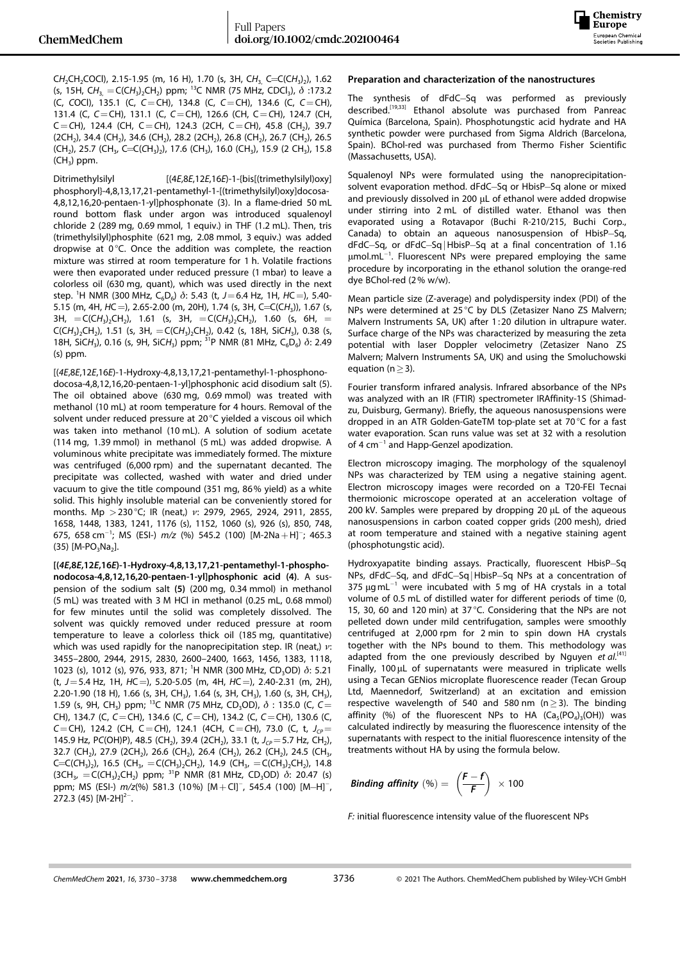

C*H*2CH2COCl), 2.15-1.95 (m, 16 H), 1.70 (s, 3H, C*H*3, C=C(C*H*3)2), 1.62 (s, 15H, C*H*3, =C(C*H*3)2CH2) ppm; 13C NMR (75 MHz, CDCl3), *δ* :173.2 (C, *C*OCl), 135.1 (C, *C*=CH), 134.8 (C, *C*=CH), 134.6 (C, *C*=CH), 131.4 (C, *C*=CH), 131.1 (C, *C*=CH), 126.6 (CH, C=*C*H), 124.7 (CH, C=*C*H), 124.4 (CH, C=*C*H), 124.3 (2CH, C=*C*H), 45.8 (CH2), 39.7  $(2CH<sub>2</sub>)$ , 34.4 (CH<sub>2</sub>), 34.6 (CH<sub>2</sub>), 28.2 (2CH<sub>2</sub>), 26.8 (CH<sub>2</sub>), 26.7 (CH<sub>2</sub>), 26.5 (CH<sub>2</sub>), 25.7 (CH<sub>3</sub>, C=C(CH<sub>3</sub>)<sub>2</sub>), 17.6 (CH<sub>3</sub>), 16.0 (CH<sub>3</sub>), 15.9 (2 CH<sub>3</sub>), 15.8  $(CH<sub>3</sub>)$  ppm.

Ditrimethylsilyl  $[(4E,8E,12E,16E)-1-(bis[(trimethylsilyl)oxy]]$ phosphoryl}-4,8,13,17,21-pentamethyl-1-[(trimethylsilyl)oxy]docosa-4,8,12,16,20-pentaen-1-yl]phosphonate (3). In a flame-dried 50 mL round bottom flask under argon was introduced squalenoyl chloride 2 (289 mg, 0.69 mmol, 1 equiv.) in THF (1.2 mL). Then, tris (trimethylsilyl)phosphite (621 mg, 2.08 mmol, 3 equiv.) was added dropwise at 0°C. Once the addition was complete, the reaction mixture was stirred at room temperature for 1 h. Volatile fractions were then evaporated under reduced pressure (1 mbar) to leave a colorless oil (630 mg, quant), which was used directly in the next step. <sup>1</sup>H NMR (300 MHz, C<sub>6</sub>D<sub>6</sub>)  $\delta$ : 5.43 (t, J=6.4 Hz, 1H, HC=), 5.40-5.15 (m, 4H, *H*C=), 2.65-2.00 (m, 20H), 1.74 (s, 3H, C=C(C*H*3)), 1.67 (s, 3H,  $= C(CH_3)_2CH_2$ , 1.61 (s, 3H,  $= C(CH_3)_2CH_2$ , 1.60 (s, 6H,  $=$  $C(CH_3)_2CH_2$ ), 1.51 (s, 3H,  $= C(CH_3)_2CH_2$ ), 0.42 (s, 18H, SiCH<sub>3</sub>), 0.38 (s, 18H, SiCH<sub>3</sub>), 0.16 (s, 9H, SiCH<sub>3</sub>) ppm; <sup>31</sup>P NMR (81 MHz, C<sub>6</sub>D<sub>6</sub>)  $\delta$ : 2.49 (s) ppm.

[(*4E*,8*E*,12*E*,16*E*)-1-Hydroxy-4,8,13,17,21-pentamethyl-1-phosphonodocosa-4,8,12,16,20-pentaen-1-yl]phosphonic acid disodium salt (5). The oil obtained above (630 mg, 0.69 mmol) was treated with methanol (10 mL) at room temperature for 4 hours. Removal of the solvent under reduced pressure at 20°C yielded a viscous oil which was taken into methanol (10 mL). A solution of sodium acetate (114 mg, 1.39 mmol) in methanol (5 mL) was added dropwise. A voluminous white precipitate was immediately formed. The mixture was centrifuged (6,000 rpm) and the supernatant decanted. The precipitate was collected, washed with water and dried under vacuum to give the title compound (351 mg, 86% yield) as a white solid. This highly insoluble material can be conveniently stored for months. Mp *>*230°C; IR (neat,) *ν*: 2979, 2965, 2924, 2911, 2855, 1658, 1448, 1383, 1241, 1176 (s), 1152, 1060 (s), 926 (s), 850, 748, 675, 658 cm<sup>-1</sup>; MS (ESI-) *m/z* (%) 545.2 (100) [M-2Na+H]<sup>-</sup>; 465.3  $(35)$  [M-PO<sub>3</sub>Na<sub>2</sub>].

**[(***4E***,8***E***,12***E***,16***E***)-1-Hydroxy-4,8,13,17,21-pentamethyl-1-phosphonodocosa-4,8,12,16,20-pentaen-1-yl]phosphonic acid (4)**. A suspension of the sodium salt **(5)** (200 mg, 0.34 mmol) in methanol (5 mL) was treated with 3 M HCl in methanol (0.25 mL, 0.68 mmol) for few minutes until the solid was completely dissolved. The solvent was quickly removed under reduced pressure at room temperature to leave a colorless thick oil (185 mg, quantitative) which was used rapidly for the nanoprecipitation step. IR (neat,) *ν*: 3455–2800, 2944, 2915, 2830, 2600–2400, 1663, 1456, 1383, 1118, 1023 (s), 1012 (s), 976, 933, 871; <sup>1</sup>H NMR (300 MHz, CD<sub>3</sub>OD)  $\delta$ : 5.21 (t, *J*=5.4 Hz, 1H, *H*C=), 5.20-5.05 (m, 4H, *H*C=), 2.40-2.31 (m, 2H), 2.20-1.90 (18 H), 1.66 (s, 3H, CH3), 1.64 (s, 3H, CH3), 1.60 (s, 3H, CH3), 1.59 (s, 9H, CH<sub>3</sub>) ppm; <sup>13</sup>C NMR (75 MHz, CD<sub>3</sub>OD),  $\delta$  : 135.0 (C, C = CH), 134.7 (C, *C*=CH), 134.6 (C, *C*=CH), 134.2 (C, *C*=CH), 130.6 (C, *C*=CH), 124.2 (CH, C=CH), 124.1 (4CH, C=CH), 73.0 (C, t, J<sub>CP</sub>= 145.9 Hz, PC(OH)P), 48.5 (CH<sub>2</sub>), 39.4 (2CH<sub>2</sub>), 33.1 (t, *J<sub>CP</sub>* = 5.7 Hz, CH<sub>2</sub>), 32.7 (CH<sub>2</sub>), 27.9 (2CH<sub>2</sub>), 26.6 (CH<sub>2</sub>), 26.4 (CH<sub>2</sub>), 26.2 (CH<sub>2</sub>), 24.5 (CH<sub>3</sub>, C=C(CH<sub>3</sub>)<sub>2</sub>), 16.5 (CH<sub>3</sub>, =C(CH<sub>3</sub>)<sub>2</sub>CH<sub>2</sub>), 14.9 (CH<sub>3</sub>, =C(CH<sub>3</sub>)<sub>2</sub>CH<sub>2</sub>), 14.8 (3CH3, =C(*C*H3)2CH2) ppm; 31P NMR (81 MHz, CD3OD) *δ*: 20.47 (s) ppm; MS (ESI-)  $m/z$ (%) 581.3 (10%) [M + Cl]<sup>-</sup>, 545.4 (100) [M-H]<sup>-</sup>, 272.3 (45)  $[M-2H]^{2-}$ .

### **Preparation and characterization of the nanostructures**

The synthesis of dFdC-Sq was performed as previously described.[19,33] Ethanol absolute was purchased from Panreac Química (Barcelona, Spain). Phosphotungstic acid hydrate and HA synthetic powder were purchased from Sigma Aldrich (Barcelona, Spain). BChol-red was purchased from Thermo Fisher Scientific (Massachusetts, USA).

Squalenoyl NPs were formulated using the nanoprecipitationsolvent evaporation method. dFdC-Sq or HbisP-Sq alone or mixed and previously dissolved in 200 μL of ethanol were added dropwise under stirring into 2 mL of distilled water. Ethanol was then evaporated using a Rotavapor (Buchi R-210/215, Buchi Corp., Canada) to obtain an aqueous nanosuspension of HbisP-Sq, dFdC-Sq, or dFdC-Sq|HbisP-Sq at a final concentration of 1.16  $\mu$ mol.mL $^{-1}$ . Fluorescent NPs were prepared employing the same procedure by incorporating in the ethanol solution the orange-red dye BChol-red (2% w/w).

Mean particle size (Z-average) and polydispersity index (PDI) of the NPs were determined at 25°C by DLS (Zetasizer Nano ZS Malvern; Malvern Instruments SA, UK) after 1:20 dilution in ultrapure water. Surface charge of the NPs was characterized by measuring the zeta potential with laser Doppler velocimetry (Zetasizer Nano ZS Malvern; Malvern Instruments SA, UK) and using the Smoluchowski equation ( $n \geq 3$ ).

Fourier transform infrared analysis. Infrared absorbance of the NPs was analyzed with an IR (FTIR) spectrometer IRAffinity-1S (Shimadzu, Duisburg, Germany). Briefly, the aqueous nanosuspensions were dropped in an ATR Golden-GateTM top-plate set at 70°C for a fast water evaporation. Scan runs value was set at 32 with a resolution of 4  $cm^{-1}$  and Happ-Genzel apodization.

Electron microscopy imaging. The morphology of the squalenoyl NPs was characterized by TEM using a negative staining agent. Electron microscopy images were recorded on a T20-FEI Tecnai thermoionic microscope operated at an acceleration voltage of 200 kV. Samples were prepared by dropping 20 μL of the aqueous nanosuspensions in carbon coated copper grids (200 mesh), dried at room temperature and stained with a negative staining agent (phosphotungstic acid).

Hydroxyapatite binding assays. Practically, fluorescent HbisP-Sq NPs, dFdC-Sq, and dFdC-Sq | HbisP-Sq NPs at a concentration of 375  $\mu$ gmL<sup>-1</sup> were incubated with 5 mg of HA crystals in a total volume of 0.5 mL of distilled water for different periods of time (0, 15, 30, 60 and 120 min) at 37°C. Considering that the NPs are not pelleted down under mild centrifugation, samples were smoothly centrifuged at 2,000 rpm for 2 min to spin down HA crystals together with the NPs bound to them. This methodology was adapted from the one previously described by Nguyen *et al.*<sup>[41]</sup> Finally, 100μL of supernatants were measured in triplicate wells using a Tecan GENios microplate fluorescence reader (Tecan Group Ltd, Maennedorf, Switzerland) at an excitation and emission respective wavelength of 540 and 580 nm  $(n \ge 3)$ . The binding affinity (%) of the fluorescent NPs to HA  $(Ca_5(PO_4)_3(OH))$  was calculated indirectly by measuring the fluorescence intensity of the supernatants with respect to the initial fluorescence intensity of the treatments without HA by using the formula below.

 **Binding affinity** (
$$
\%
$$
) =  $\left(\frac{F - f}{F}\right) \times 100$ 

*F:* initial fluorescence intensity value of the fluorescent NPs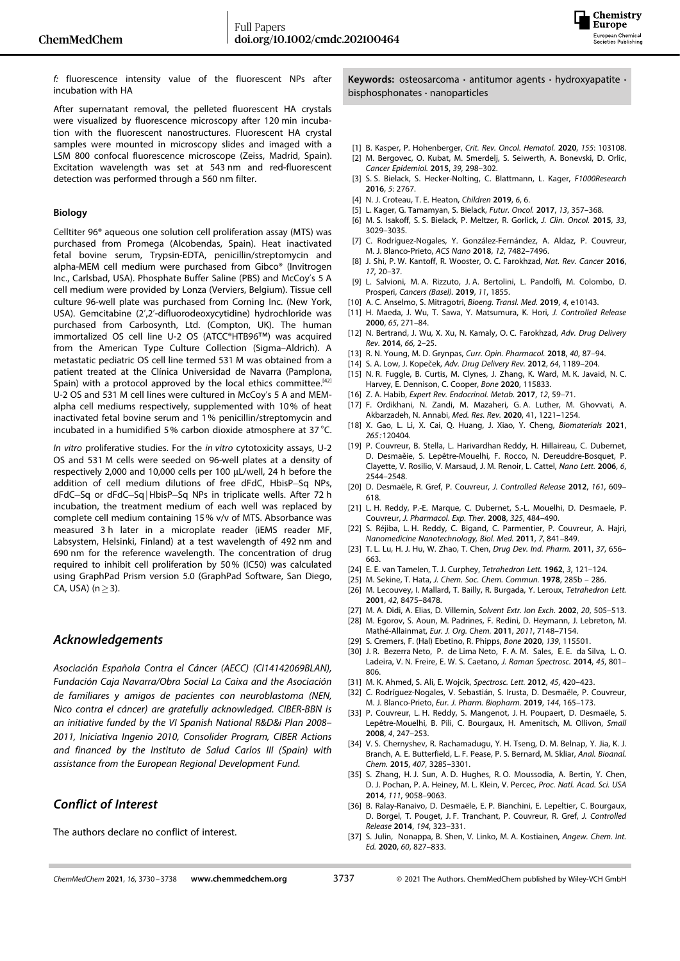

*f:* fluorescence intensity value of the fluorescent NPs after incubation with HA

After supernatant removal, the pelleted fluorescent HA crystals were visualized by fluorescence microscopy after 120 min incubation with the fluorescent nanostructures. Fluorescent HA crystal samples were mounted in microscopy slides and imaged with a LSM 800 confocal fluorescence microscope (Zeiss, Madrid, Spain). Excitation wavelength was set at 543 nm and red-fluorescent detection was performed through a 560 nm filter.

#### **Biology**

Celltiter 96® aqueous one solution cell proliferation assay (MTS) was purchased from Promega (Alcobendas, Spain). Heat inactivated fetal bovine serum, Trypsin-EDTA, penicillin/streptomycin and alpha-MEM cell medium were purchased from Gibco® (Invitrogen Inc., Carlsbad, USA). Phosphate Buffer Saline (PBS) and McCoy's 5 A cell medium were provided by Lonza (Verviers, Belgium). Tissue cell culture 96-well plate was purchased from Corning Inc. (New York, USA). Gemcitabine (2',2'-difluorodeoxycytidine) hydrochloride was purchased from Carbosynth, Ltd. (Compton, UK). The human immortalized OS cell line U-2 OS (ATCC®HTB96™) was acquired from the American Type Culture Collection (Sigma–Aldrich). A metastatic pediatric OS cell line termed 531 M was obtained from a patient treated at the Clínica Universidad de Navarra (Pamplona, Spain) with a protocol approved by the local ethics committee.<sup>[42]</sup> U-2 OS and 531 M cell lines were cultured in McCoy's 5 A and MEMalpha cell mediums respectively, supplemented with 10% of heat inactivated fetal bovine serum and 1% penicillin/streptomycin and incubated in a humidified 5% carbon dioxide atmosphere at 37°C.

*In vitro* proliferative studies. For the *in vitro* cytotoxicity assays, U-2 OS and 531 M cells were seeded on 96-well plates at a density of respectively 2,000 and 10,000 cells per 100 μL/well, 24 h before the addition of cell medium dilutions of free dFdC, HbisP-Sq NPs, dFdC-Sq or dFdC-Sq | HbisP-Sq NPs in triplicate wells. After 72 h incubation, the treatment medium of each well was replaced by complete cell medium containing 15% v/v of MTS. Absorbance was measured 3 h later in a microplate reader (iEMS reader MF, Labsystem, Helsinki, Finland) at a test wavelength of 492 nm and 690 nm for the reference wavelength. The concentration of drug required to inhibit cell proliferation by 50% (IC50) was calculated using GraphPad Prism version 5.0 (GraphPad Software, San Diego, CA, USA) ( $n \geq 3$ ).

### *Acknowledgements*

*Asociación Española Contra el Cáncer (AECC) (CI14142069BLAN), Fundación Caja Navarra/Obra Social La Caixa and the Asociación de familiares y amigos de pacientes con neuroblastoma (NEN, Nico contra el cáncer) are gratefully acknowledged. CIBER-BBN is an initiative funded by the VI Spanish National R&D&i Plan 2008– 2011, Iniciativa Ingenio 2010, Consolider Program, CIBER Actions and financed by the Instituto de Salud Carlos III (Spain) with assistance from the European Regional Development Fund.*

### *Conflict of Interest*

The authors declare no conflict of interest.

**Keywords:** osteosarcoma **·** antitumor agents **·** hydroxyapatite **·** bisphosphonates **·** nanoparticles

- [1] B. Kasper, P. Hohenberger, *Crit. Rev. Oncol. Hematol.* **2020**, *155*: 103108.
- [2] M. Bergovec, O. Kubat, M. Smerdelj, S. Seiwerth, A. Bonevski, D. Orlic, *Cancer [Epidemiol.](https://doi.org/10.1016/j.canep.2015.01.015)* **2015**, *39*, 298–302.
- [3] S. S. Bielack, S. Hecker-Nolting, C. Blattmann, L. Kager, *F1000Research* **2016**, *5*: 2767.
- [4] N. J. Croteau, T. E. Heaton, *[Children](https://doi.org/10.3390/children6010006)* **2019**, *6*, 6.
- [5] L. Kager, G. Tamamyan, S. Bielack, *Futur. Oncol.* **2017**, *13*, [357–368](https://doi.org/10.2217/fon-2016-0261).
- [6] M. S. Isakoff, S. S. Bielack, P. Meltzer, R. Gorlick, *J. Clin. [Oncol.](https://doi.org/10.1200/JCO.2014.59.4895)* **2015**, *33*, [3029–3035.](https://doi.org/10.1200/JCO.2014.59.4895)
- [7] C. Rodríguez-Nogales, Y. González-Fernández, A. Aldaz, P. Couvreur, M. J. Blanco-Prieto, *ACS Nano* **2018**, *12*, [7482–7496](https://doi.org/10.1021/acsnano.8b03684).
- [8] J. Shi, P. W. Kantoff, R. Wooster, O. C. Farokhzad, *Nat. Rev. Cancer* **2016**, *17*, 20–37.
- [9] L. Salvioni, M. A. Rizzuto, J. A. Bertolini, L. Pandolfi, M. Colombo, D. Prosperi, *Cancers (Basel).* **2019**, *11*, 1855.
- [10] A. C. Anselmo, S. Mitragotri, *Bioeng. Transl. Med.* **2019**, *4*, e10143.
- [11] H. Maeda, J. Wu, T. Sawa, Y. Matsumura, K. Hori, *J. [Controlled](https://doi.org/10.1016/S0168-3659(99)00248-5) Release* **2000**, *65*, [271–84](https://doi.org/10.1016/S0168-3659(99)00248-5).
- [12] N. Bertrand, J. Wu, X. Xu, N. Kamaly, O. C. Farokhzad, *Adv. Drug [Delivery](https://doi.org/10.1016/j.addr.2013.11.009) Rev.* **[2014](https://doi.org/10.1016/j.addr.2013.11.009)**, *66*, 2–25.
- [13] R. N. Young, M. D. Grynpas, *Curr. Opin. [Pharmacol.](https://doi.org/10.1016/j.coph.2018.03.010)* **2018**, *40*, 87–94.
- [14] S. A. Low, J. Kopeček, *Adv. Drug Delivery Rev.* **2012**, *64*, [1189–204](https://doi.org/10.1016/j.addr.2012.01.012).
- [15] N. R. Fuggle, B. Curtis, M. Clynes, J. Zhang, K. Ward, M. K. Javaid, N. C. Harvey, E. Dennison, C. Cooper, *Bone* **2020**, 115833.
- [16] Z. A. Habib, *Expert Rev. [Endocrinol.](https://doi.org/10.1080/17446651.2017.1256199) Metab.* **2017**, *12*, 59–71.
- [17] F. Ordikhani, N. Zandi, M. Mazaheri, G. A. Luther, M. Ghovvati, A. Akbarzadeh, N. Annabi, *Med. Res. Rev.* **2020**, 41, 1221–1254.
- [18] X. Gao, L. Li, X. Cai, Q. Huang, J. Xiao, Y. Cheng, *Biomaterials* **2021**, *265 :*120404.
- [19] P. Couvreur, B. Stella, L. Harivardhan Reddy, H. Hillaireau, C. Dubernet, D. Desmaěie, S. Lepêtre-Mouelhi, F. Rocco, N. Dereuddre-Bosquet, P. Clayette, V. Rosilio, V. Marsaud, J. M. Renoir, L. Cattel, *[Nano](https://doi.org/10.1021/nl061942q) Lett.* **2006**, *6*, [2544–2548.](https://doi.org/10.1021/nl061942q)
- [20] D. Desmaële, R. Gref, P. Couvreur, *J. [Controlled](https://doi.org/10.1016/j.jconrel.2011.07.038) Release* **2012**, *161*, 609– [618.](https://doi.org/10.1016/j.jconrel.2011.07.038)
- [21] L. H. Reddy, P.-E. Marque, C. Dubernet, S.-L. Mouelhi, D. Desmaele, P. Couvreur, *J. [Pharmacol.](https://doi.org/10.1124/jpet.107.133751) Exp. Ther.* **2008**, *325*, 484–490.
- [22] S. Réjiba, L. H. Reddy, C. Bigand, C. Parmentier, P. Couvreur, A. Hajri, *Nanomedicine [Nanotechnology,](https://doi.org/10.1016/j.nano.2011.02.012) Biol. Med.* **2011**, *7*, 841–849.
- [23] T. L. Lu, H. J. Hu, W. Zhao, T. Chen, *Drug Dev. Ind. [Pharm.](https://doi.org/10.3109/03639045.2010.535210)* **2011**, *37*, 656– [663.](https://doi.org/10.3109/03639045.2010.535210)
- [24] E. E. van Tamelen, T. J. Curphey, *[Tetrahedron](https://doi.org/10.1016/S0040-4039(00)71112-9) Lett.* **1962**, *3*, 121–124.
- [25] M. Sekine, T. Hata, *J. Chem. Soc. Chem. [Commun.](https://doi.org/10.1039/c3978000285b)* **1978**, 285b 286.
- [26] M. Lecouvey, I. Mallard, T. Bailly, R. Burgada, Y. Leroux, *[Tetrahedron](https://doi.org/10.1016/S0040-4039(01)01844-5) Lett.* **2001**, *42*, [8475–8478.](https://doi.org/10.1016/S0040-4039(01)01844-5)
- [27] M. A. Didi, A. Elias, D. Villemin, *Solvent Extr. Ion Exch.* **2002**, *20*, [505–513.](https://doi.org/10.1081/SEI-120004813)
- [28] M. Egorov, S. Aoun, M. Padrines, F. Redini, D. Heymann, J. Lebreton, M. Mathé-Allainmat, *Eur. J. Org. Chem.* **2011**, *2011*, 7148–7154.
- [29] S. Cremers, F. (Hal) Ebetino, R. Phipps, *Bone* **2020**, *139*, 115501.
- [30] J. R. Bezerra Neto, P. de Lima Neto, F. A. M. Sales, E. E. da Silva, L. O. Ladeira, V. N. Freire, E. W. S. Caetano, *J. Raman [Spectrosc.](https://doi.org/10.1002/jrs.4559)* **2014**, *45*, 801– [806.](https://doi.org/10.1002/jrs.4559)
- [31] M. K. Ahmed, S. Ali, E. Wojcik, *[Spectrosc.](https://doi.org/10.1080/00387010.2011.627529) Lett.* **2012**, *45*, 420–423.
- [32] C. Rodríguez-Nogales, V. Sebastián, S. Irusta, D. Desmaële, P. Couvreur, M. J. Blanco-Prieto, *Eur. J. Pharm. [Biopharm.](https://doi.org/10.1016/j.ejpb.2019.09.017)* **2019**, *144*, 165–173.
- [33] P. Couvreur, L. H. Reddy, S. Mangenot, J. H. Poupaert, D. Desmaële, S. Lepêtre-Mouelhi, B. Pili, C. Bourgaux, H. Amenitsch, M. Ollivon, *[Small](https://doi.org/10.1002/smll.200700731)* **2008**, *4*, [247–253](https://doi.org/10.1002/smll.200700731).
- [34] V. S. Chernyshev, R. Rachamadugu, Y. H. Tseng, D. M. Belnap, Y. Jia, K. J. Branch, A. E. Butterfield, L. F. Pease, P. S. Bernard, M. Skliar, *Anal. [Bioanal.](https://doi.org/10.1007/s00216-015-8535-3) Chem.* **2015**, *407*, [3285–3301.](https://doi.org/10.1007/s00216-015-8535-3)
- [35] S. Zhang, H. J. Sun, A. D. Hughes, R. O. Moussodia, A. Bertin, Y. Chen, D. J. Pochan, P. A. Heiney, M. L. Klein, V. Percec, *Proc. Natl. [Acad.](https://doi.org/10.1073/pnas.1402858111) Sci. USA* **2014**, *111*, [9058–9063](https://doi.org/10.1073/pnas.1402858111).
- [36] B. Ralay-Ranaivo, D. Desmaële, E. P. Bianchini, E. Lepeltier, C. Bourgaux, D. Borgel, T. Pouget, J. F. Tranchant, P. Couvreur, R. Gref, *J. [Controlled](https://doi.org/10.1016/j.jconrel.2014.07.060) Release* **2014**, *194*, [323–331](https://doi.org/10.1016/j.jconrel.2014.07.060).
- [37] S. Julin, Nonappa, B. Shen, V. Linko, M. A. Kostiainen, *Angew. Chem. Int. Ed.* **2020**, *60*, 827–833.